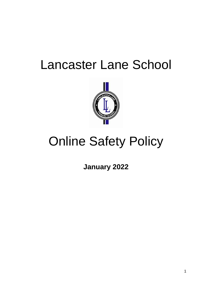## Lancaster Lane School



# Online Safety Policy

**January 2022**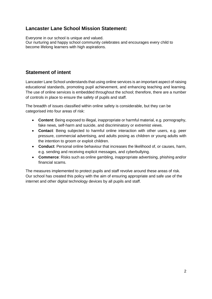## **Lancaster Lane School Mission Statement:**

Everyone in our school is unique and valued. Our nurturing and happy school community celebrates and encourages every child to become lifelong learners with high aspirations.

#### **Statement of intent**

Lancaster Lane School understands that using online services is an important aspect of raising educational standards, promoting pupil achievement, and enhancing teaching and learning. The use of online services is embedded throughout the school; therefore, there are a number of controls in place to ensure the safety of pupils and staff.

The breadth of issues classified within online safety is considerable, but they can be categorised into four areas of risk:

- **Content**: Being exposed to illegal, inappropriate or harmful material, e.g. pornography, fake news, self-harm and suicide, and discriminatory or extremist views.
- **Contact**: Being subjected to harmful online interaction with other users, e.g. peer pressure, commercial advertising, and adults posing as children or young adults with the intention to groom or exploit children.
- **Conduct**: Personal online behaviour that increases the likelihood of, or causes, harm, e.g. sending and receiving explicit messages, and cyberbullying.
- **Commerce**: Risks such as online gambling, inappropriate advertising, phishing and/or financial scams.

The measures implemented to protect pupils and staff revolve around these areas of risk. Our school has created this policy with the aim of ensuring appropriate and safe use of the internet and other digital technology devices by all pupils and staff.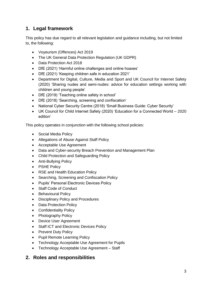## **1. Legal framework**

This policy has due regard to all relevant legislation and guidance including, but not limited to, the following:

- Voyeurism (Offences) Act 2019
- The UK General Data Protection Regulation (UK GDPR)
- Data Protection Act 2018
- DfE (2021) 'Harmful online challenges and online hoaxes'
- DfE (2021) 'Keeping children safe in education 2021'
- Department for Digital, Culture, Media and Sport and UK Council for Internet Safety (2020) 'Sharing nudes and semi-nudes: advice for education settings working with children and young people'
- DfE (2019) 'Teaching online safety in school'
- DfE (2018) 'Searching, screening and confiscation'
- National Cyber Security Centre (2018) 'Small Business Guide: Cyber Security'
- UK Council for Child Internet Safety (2020) 'Education for a Connected World 2020 edition'

This policy operates in conjunction with the following school policies:

- Social Media Policy
- Allegations of Abuse Against Staff Policy
- Acceptable Use Agreement
- Data and Cyber-security Breach Prevention and Management Plan
- Child Protection and Safeguarding Policy
- Anti-Bullying Policy
- PSHE Policy
- RSE and Health Education Policy
- Searching, Screening and Confiscation Policy
- Pupils' Personal Electronic Devices Policy
- Staff Code of Conduct
- Behavioural Policy
- Disciplinary Policy and Procedures
- Data Protection Policy
- Confidentiality Policy
- Photography Policy
- Device User Agreement
- Staff ICT and Electronic Devices Policy
- Prevent Duty Policy
- Pupil Remote Learning Policy
- Technology Acceptable Use Agreement for Pupils
- Technology Acceptable Use Agreement Staff

#### **2. Roles and responsibilities**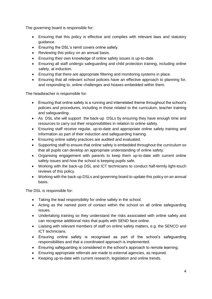The governing board is responsible for:

- Ensuring that this policy is effective and complies with relevant laws and statutory guidance.
- Ensuring the DSL's remit covers online safety.
- Reviewing this policy on an annual basis.
- Ensuring their own knowledge of online safety issues is up-to-date.
- Ensuring all staff undergo safeguarding and child protection training, including online safety, at induction.
- Ensuring that there are appropriate filtering and monitoring systems in place.
- Ensuring that all relevant school policies have an effective approach to planning for, and responding to, online challenges and hoaxes embedded within them.

The headteacher is responsible for:

- Ensuring that online safety is a running and interrelated theme throughout the school's policies and procedures, including in those related to the curriculum, teacher training and safeguarding.
- As DSL she will support the back-up DSLs by ensuring they have enough time and resources to carry out their responsibilities in relation to online safety.
- Ensuring staff receive regular, up-to-date and appropriate online safety training and information as part of their induction and safeguarding training.
- Ensuring online safety practices are audited and evaluated.
- Supporting staff to ensure that online safety is embedded throughout the curriculum so that all pupils can develop an appropriate understanding of online safety.
- Organising engagement with parents to keep them up-to-date with current online safety issues and how the school is keeping pupils safe.
- Working with the back-up DSL and ICT technicians to conduct half-termly light-touch reviews of this policy.
- Working with the back-up DSLs and governing board to update this policy on an annual basis.

The DSL is responsible for:

- Taking the lead responsibility for online safety in the school.
- Acting as the named point of contact within the school on all online safeguarding issues.
- Undertaking training so they understand the risks associated with online safety and can recognise additional risks that pupils with SEND face online.
- Liaising with relevant members of staff on online safety matters, e.g. the SENCO and ICT technicians.
- Ensuring online safety is recognised as part of the school's safeguarding responsibilities and that a coordinated approach is implemented.
- Ensuring safeguarding is considered in the school's approach to remote learning.
- Ensuring appropriate referrals are made to external agencies, as required.
- Keeping up-to-date with current research, legislation and online trends.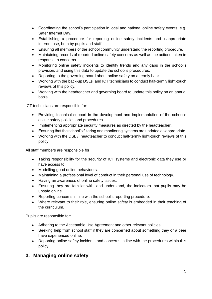- Coordinating the school's participation in local and national online safety events, e.g. Safer Internet Day.
- Establishing a procedure for reporting online safety incidents and inappropriate internet use, both by pupils and staff.
- Ensuring all members of the school community understand the reporting procedure.
- Maintaining records of reported online safety concerns as well as the actions taken in response to concerns.
- Monitoring online safety incidents to identify trends and any gaps in the school's provision, and using this data to update the school's procedures.
- Reporting to the governing board about online safety on a termly basis.
- Working with the back-up DSLs and ICT technicians to conduct half-termly light-touch reviews of this policy.
- Working with the headteacher and governing board to update this policy on an annual basis.

ICT technicians are responsible for:

- Providing technical support in the development and implementation of the school's online safety policies and procedures.
- Implementing appropriate security measures as directed by the headteacher.
- Ensuring that the school's filtering and monitoring systems are updated as appropriate.
- Working with the DSL / headteacher to conduct half-termly light-touch reviews of this policy.

All staff members are responsible for:

- Taking responsibility for the security of ICT systems and electronic data they use or have access to.
- Modelling good online behaviours.
- Maintaining a professional level of conduct in their personal use of technology.
- Having an awareness of online safety issues.
- Ensuring they are familiar with, and understand, the indicators that pupils may be unsafe online.
- Reporting concerns in line with the school's reporting procedure.
- Where relevant to their role, ensuring online safety is embedded in their teaching of the curriculum.

Pupils are responsible for:

- Adhering to the Acceptable Use Agreement and other relevant policies.
- Seeking help from school staff if they are concerned about something they or a peer have experienced online.
- Reporting online safety incidents and concerns in line with the procedures within this policy.

#### **3. Managing online safety**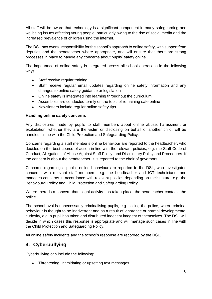All staff will be aware that technology is a significant component in many safeguarding and wellbeing issues affecting young people, particularly owing to the rise of social media and the increased prevalence of children using the internet.

The DSL has overall responsibility for the school's approach to online safety, with support from deputies and the headteacher where appropriate, and will ensure that there are strong processes in place to handle any concerns about pupils' safety online.

The importance of online safety is integrated across all school operations in the following ways:

- Staff receive regular training
- Staff receive regular email updates regarding online safety information and any changes to online safety guidance or legislation
- Online safety is integrated into learning throughout the curriculum
- Assemblies are conducted termly on the topic of remaining safe online
- Newsletters include regular online safety tips

#### **Handling online safety concerns**

Any disclosures made by pupils to staff members about online abuse, harassment or exploitation, whether they are the victim or disclosing on behalf of another child, will be handled in line with the Child Protection and Safeguarding Policy.

Concerns regarding a staff member's online behaviour are reported to the headteacher, who decides on the best course of action in line with the relevant policies, e.g. the Staff Code of Conduct, Allegations of Abuse Against Staff Policy, and Disciplinary Policy and Procedures. If the concern is about the headteacher, it is reported to the chair of governors.

Concerns regarding a pupil's online behaviour are reported to the DSL, who investigates concerns with relevant staff members, e.g. the headteacher and ICT technicians, and manages concerns in accordance with relevant policies depending on their nature, e.g. the Behavioural Policy and Child Protection and Safeguarding Policy.

Where there is a concern that illegal activity has taken place, the headteacher contacts the police.

The school avoids unnecessarily criminalising pupils, e.g. calling the police, where criminal behaviour is thought to be inadvertent and as a result of ignorance or normal developmental curiosity, e.g. a pupil has taken and distributed indecent imagery of themselves. The DSL will decide in which cases this response is appropriate and will manage such cases in line with the Child Protection and Safeguarding Policy.

All online safety incidents and the school's response are recorded by the DSL.

## **4. Cyberbullying**

Cyberbullying can include the following:

Threatening, intimidating or upsetting text messages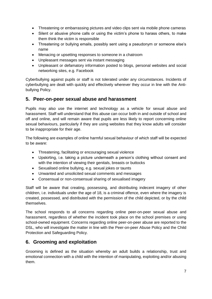- Threatening or embarrassing pictures and video clips sent via mobile phone cameras
- Silent or abusive phone calls or using the victim's phone to harass others, to make them think the victim is responsible
- Threatening or bullying emails, possibly sent using a pseudonym or someone else's name
- Menacing or upsetting responses to someone in a chatroom
- Unpleasant messages sent via instant messaging
- Unpleasant or defamatory information posted to blogs, personal websites and social networking sites, e.g. Facebook

Cyberbullying against pupils or staff is not tolerated under any circumstances. Incidents of cyberbullying are dealt with quickly and effectively wherever they occur in line with the Antibullying Policy.

#### **5. Peer-on-peer sexual abuse and harassment**

Pupils may also use the internet and technology as a vehicle for sexual abuse and harassment. Staff will understand that this abuse can occur both in and outside of school and off and online, and will remain aware that pupils are less likely to report concerning online sexual behaviours, particularly if they are using websites that they know adults will consider to be inappropriate for their age.

The following are examples of online harmful sexual behaviour of which staff will be expected to be aware:

- Threatening, facilitating or encouraging sexual violence
- Upskirting, i.e. taking a picture underneath a person's clothing without consent and with the intention of viewing their genitals, breasts or buttocks
- Sexualised online bullying, e.g. sexual jokes or taunts
- Unwanted and unsolicited sexual comments and messages
- Consensual or non-consensual sharing of sexualised imagery

Staff will be aware that creating, possessing, and distributing indecent imagery of other children, i.e. individuals under the age of 18, is a criminal offence, even where the imagery is created, possessed, and distributed with the permission of the child depicted, or by the child themselves.

The school responds to all concerns regarding online peer-on-peer sexual abuse and harassment, regardless of whether the incident took place on the school premises or using school-owned equipment. Concerns regarding online peer-on-peer abuse are reported to the DSL, who will investigate the matter in line with the Peer-on-peer Abuse Policy and the Child Protection and Safeguarding Policy.

#### **6. Grooming and exploitation**

Grooming is defined as the situation whereby an adult builds a relationship, trust and emotional connection with a child with the intention of manipulating, exploiting and/or abusing them.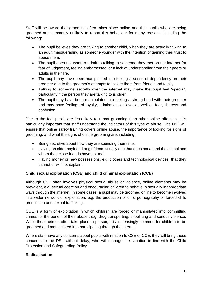Staff will be aware that grooming often takes place online and that pupils who are being groomed are commonly unlikely to report this behaviour for many reasons, including the following:

- The pupil believes they are talking to another child, when they are actually talking to an adult masquerading as someone younger with the intention of gaining their trust to abuse them.
- The pupil does not want to admit to talking to someone they met on the internet for fear of judgement, feeling embarrassed, or a lack of understanding from their peers or adults in their life.
- The pupil may have been manipulated into feeling a sense of dependency on their groomer due to the groomer's attempts to isolate them from friends and family.
- Talking to someone secretly over the internet may make the pupil feel 'special', particularly if the person they are talking to is older.
- The pupil may have been manipulated into feeling a strong bond with their groomer and may have feelings of loyalty, admiration, or love, as well as fear, distress and confusion.

Due to the fact pupils are less likely to report grooming than other online offences, it is particularly important that staff understand the indicators of this type of abuse. The DSL will ensure that online safety training covers online abuse, the importance of looking for signs of grooming, and what the signs of online grooming are, including:

- Being secretive about how they are spending their time.
- Having an older boyfriend or girlfriend, usually one that does not attend the school and whom their close friends have not met.
- Having money or new possessions, e.g. clothes and technological devices, that they cannot or will not explain.

#### **Child sexual exploitation (CSE) and child criminal exploitation (CCE)**

Although CSE often involves physical sexual abuse or violence, online elements may be prevalent, e.g. sexual coercion and encouraging children to behave in sexually inappropriate ways through the internet. In some cases, a pupil may be groomed online to become involved in a wider network of exploitation, e.g. the production of child pornography or forced child prostitution and sexual trafficking.

CCE is a form of exploitation in which children are forced or manipulated into committing crimes for the benefit of their abuser, e.g. drug transporting, shoplifting and serious violence. While these crimes often take place in person, it is increasingly common for children to be groomed and manipulated into participating through the internet.

Where staff have any concerns about pupils with relation to CSE or CCE, they will bring these concerns to the DSL without delay, who will manage the situation in line with the Child Protection and Safeguarding Policy.

#### **Radicalisation**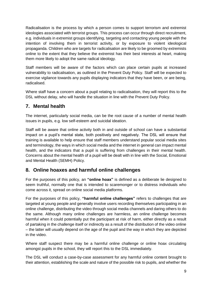Radicalisation is the process by which a person comes to support terrorism and extremist ideologies associated with terrorist groups. This process can occur through direct recruitment, e.g. individuals in extremist groups identifying, targeting and contacting young people with the intention of involving them in terrorist activity, or by exposure to violent ideological propaganda. Children who are targets for radicalisation are likely to be groomed by extremists online to the extent that they believe the extremist has their best interests at heart, making them more likely to adopt the same radical ideology.

Staff members will be aware of the factors which can place certain pupils at increased vulnerability to radicalisation, as outlined in the Prevent Duty Policy. Staff will be expected to exercise vigilance towards any pupils displaying indicators that they have been, or are being, radicalised.

Where staff have a concern about a pupil relating to radicalisation, they will report this to the DSL without delay, who will handle the situation in line with the Prevent Duty Policy.

## **7. Mental health**

The internet, particularly social media, can be the root cause of a number of mental health issues in pupils, e.g. low self-esteem and suicidal ideation.

Staff will be aware that online activity both in and outside of school can have a substantial impact on a pupil's mental state, both positively and negatively. The DSL will ensure that training is available to help ensure that staff members understand popular social media sites and terminology, the ways in which social media and the internet in general can impact mental health, and the indicators that a pupil is suffering from challenges in their mental health. Concerns about the mental health of a pupil will be dealt with in line with the Social, Emotional and Mental Health (SEMH) Policy.

#### **8. Online hoaxes and harmful online challenges**

For the purposes of this policy, an **"online hoax"** is defined as a deliberate lie designed to seem truthful, normally one that is intended to scaremonger or to distress individuals who come across it, spread on online social media platforms.

For the purposes of this policy, **"harmful online challenges"** refers to challenges that are targeted at young people and generally involve users recording themselves participating in an online challenge, distributing the video through social media channels and daring others to do the same. Although many online challenges are harmless, an online challenge becomes harmful when it could potentially put the participant at risk of harm, either directly as a result of partaking in the challenge itself or indirectly as a result of the distribution of the video online – the latter will usually depend on the age of the pupil and the way in which they are depicted in the video.

Where staff suspect there may be a harmful online challenge or online hoax circulating amongst pupils in the school, they will report this to the DSL immediately.

The DSL will conduct a case-by-case assessment for any harmful online content brought to their attention, establishing the scale and nature of the possible risk to pupils, and whether the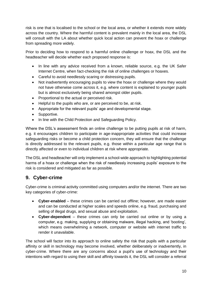risk is one that is localised to the school or the local area, or whether it extends more widely across the country. Where the harmful content is prevalent mainly in the local area, the DSL will consult with the LA about whether quick local action can prevent the hoax or challenge from spreading more widely.

Prior to deciding how to respond to a harmful online challenge or hoax, the DSL and the headteacher will decide whether each proposed response is:

- In line with any advice received from a known, reliable source, e.g. the UK Safer Internet Centre, when fact-checking the risk of online challenges or hoaxes.
- Careful to avoid needlessly scaring or distressing pupils.
- Not inadvertently encouraging pupils to view the hoax or challenge where they would not have otherwise come across it, e.g. where content is explained to younger pupils but is almost exclusively being shared amongst older pupils.
- Proportional to the actual or perceived risk.
- Helpful to the pupils who are, or are perceived to be, at risk.
- Appropriate for the relevant pupils' age and developmental stage.
- Supportive.
- In line with the Child Protection and Safeguarding Policy.

Where the DSL's assessment finds an online challenge to be putting pupils at risk of harm, e.g. it encourages children to participate in age-inappropriate activities that could increase safeguarding risks or become a child protection concern, they will ensure that the challenge is directly addressed to the relevant pupils, e.g. those within a particular age range that is directly affected or even to individual children at risk where appropriate.

The DSL and headteacher will only implement a school-wide approach to highlighting potential harms of a hoax or challenge when the risk of needlessly increasing pupils' exposure to the risk is considered and mitigated as far as possible.

## **9. Cyber-crime**

Cyber-crime is criminal activity committed using computers and/or the internet. There are two key categories of cyber-crime:

- **Cyber-enabled** these crimes can be carried out offline; however, are made easier and can be conducted at higher scales and speeds online, e.g. fraud, purchasing and selling of illegal drugs, and sexual abuse and exploitation.
- **Cyber-dependent**  these crimes can only be carried out online or by using a computer, e.g. making, supplying or obtaining malware, illegal hacking, and 'booting', which means overwhelming a network, computer or website with internet traffic to render it unavailable.

The school will factor into its approach to online safety the risk that pupils with a particular affinity or skill in technology may become involved, whether deliberately or inadvertently, in cyber-crime. Where there are any concerns about a pupil's use of technology and their intentions with regard to using their skill and affinity towards it, the DSL will consider a referral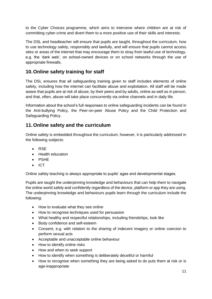to the Cyber Choices programme, which aims to intervene where children are at risk of committing cyber-crime and divert them to a more positive use of their skills and interests.

The DSL and headteacher will ensure that pupils are taught, throughout the curriculum, how to use technology safely, responsibly and lawfully, and will ensure that pupils cannot access sites or areas of the internet that may encourage them to stray from lawful use of technology, e.g. the 'dark web', on school-owned devices or on school networks through the use of appropriate firewalls.

## **10.Online safety training for staff**

The DSL ensures that all safeguarding training given to staff includes elements of online safety, including how the internet can facilitate abuse and exploitation. All staff will be made aware that pupils are at risk of abuse, by their peers and by adults, online as well as in person, and that, often, abuse will take place concurrently via online channels and in daily life.

Information about the school's full responses to online safeguarding incidents can be found in the Anti-bullying Policy, the Peer-on-peer Abuse Policy and the Child Protection and Safeguarding Policy.

#### **11.Online safety and the curriculum**

Online safety is embedded throughout the curriculum; however, it is particularly addressed in the following subjects:

- $\bullet$  RSF
- **•** Health education
- PSHE
- $\bullet$  ICT

Online safety teaching is always appropriate to pupils' ages and developmental stages.

Pupils are taught the underpinning knowledge and behaviours that can help them to navigate the online world safely and confidently regardless of the device, platform or app they are using. The underpinning knowledge and behaviours pupils learn through the curriculum include the following:

- How to evaluate what they see online
- How to recognise techniques used for persuasion
- What healthy and respectful relationships, including friendships, look like
- Body confidence and self-esteem
- Consent, e.g. with relation to the sharing of indecent imagery or online coercion to perform sexual acts
- Acceptable and unacceptable online behaviour
- How to identify online risks
- How and when to seek support
- How to identify when something is deliberately deceitful or harmful
- How to recognise when something they are being asked to do puts them at risk or is age-inappropriate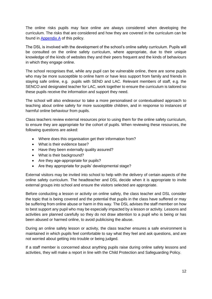The online risks pupils may face online are always considered when developing the curriculum. The risks that are considered and how they are covered in the curriculum can be found in [Appendix A](#page-19-0) of this policy.

The DSL is involved with the development of the school's online safety curriculum. Pupils will be consulted on the online safety curriculum, where appropriate, due to their unique knowledge of the kinds of websites they and their peers frequent and the kinds of behaviours in which they engage online.

The school recognises that, while any pupil can be vulnerable online, there are some pupils who may be more susceptible to online harm or have less support from family and friends in staying safe online, e.g. pupils with SEND and LAC. Relevant members of staff, e.g. the SENCO and designated teacher for LAC, work together to ensure the curriculum is tailored so these pupils receive the information and support they need.

The school will also endeavour to take a more personalised or contextualised approach to teaching about online safety for more susceptible children, and in response to instances of harmful online behaviour from pupils.

Class teachers review external resources prior to using them for the online safety curriculum, to ensure they are appropriate for the cohort of pupils. When reviewing these resources, the following questions are asked:

- Where does this organisation get their information from?
- What is their evidence base?
- Have they been externally quality assured?
- What is their background?
- Are they age-appropriate for pupils?
- Are they appropriate for pupils' developmental stage?

External visitors may be invited into school to help with the delivery of certain aspects of the online safety curriculum. The headteacher and DSL decide when it is appropriate to invite external groups into school and ensure the visitors selected are appropriate.

Before conducting a lesson or activity on online safety, the class teacher and DSL consider the topic that is being covered and the potential that pupils in the class have suffered or may be suffering from online abuse or harm in this way. The DSL advises the staff member on how to best support any pupil who may be especially impacted by a lesson or activity. Lessons and activities are planned carefully so they do not draw attention to a pupil who is being or has been abused or harmed online, to avoid publicising the abuse.

During an online safety lesson or activity, the class teacher ensures a safe environment is maintained in which pupils feel comfortable to say what they feel and ask questions, and are not worried about getting into trouble or being judged.

If a staff member is concerned about anything pupils raise during online safety lessons and activities, they will make a report in line with the Child Protection and Safeguarding Policy.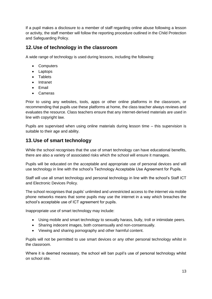If a pupil makes a disclosure to a member of staff regarding online abuse following a lesson or activity, the staff member will follow the reporting procedure outlined in the Child Protection and Safeguarding Policy.

## **12.Use of technology in the classroom**

A wide range of technology is used during lessons, including the following:

- Computers
- Laptops
- Tablets
- Intranet
- Email
- Cameras

Prior to using any websites, tools, apps or other online platforms in the classroom, or recommending that pupils use these platforms at home, the class teacher always reviews and evaluates the resource. Class teachers ensure that any internet-derived materials are used in line with copyright law.

Pupils are supervised when using online materials during lesson time – this supervision is suitable to their age and ability.

## **13.Use of smart technology**

While the school recognises that the use of smart technology can have educational benefits, there are also a variety of associated risks which the school will ensure it manages.

Pupils will be educated on the acceptable and appropriate use of personal devices and will use technology in line with the school's Technology Acceptable Use Agreement for Pupils.

Staff will use all smart technology and personal technology in line with the school's Staff ICT and Electronic Devices Policy.

The school recognises that pupils' unlimited and unrestricted access to the internet via mobile phone networks means that some pupils may use the internet in a way which breaches the school's acceptable use of ICT agreement for pupils.

Inappropriate use of smart technology may include:

- Using mobile and smart technology to sexually harass, bully, troll or intimidate peers.
- Sharing indecent images, both consensually and non-consensually.
- Viewing and sharing pornography and other harmful content.

Pupils will not be permitted to use smart devices or any other personal technology whilst in the classroom.

Where it is deemed necessary, the school will ban pupil's use of personal technology whilst on school site.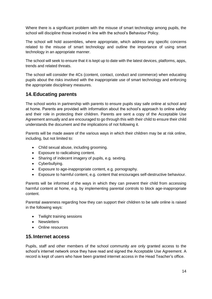Where there is a significant problem with the misuse of smart technology among pupils, the school will discipline those involved in line with the school's Behaviour Policy.

The school will hold assemblies, where appropriate, which address any specific concerns related to the misuse of smart technology and outline the importance of using smart technology in an appropriate manner.

The school will seek to ensure that it is kept up to date with the latest devices, platforms, apps, trends and related threats.

The school will consider the 4Cs (content, contact, conduct and commerce) when educating pupils about the risks involved with the inappropriate use of smart technology and enforcing the appropriate disciplinary measures.

## **14.Educating parents**

The school works in partnership with parents to ensure pupils stay safe online at school and at home. Parents are provided with information about the school's approach to online safety and their role in protecting their children. Parents are sent a copy of the Acceptable Use Agreement annually and are encouraged to go through this with their child to ensure their child understands the document and the implications of not following it.

Parents will be made aware of the various ways in which their children may be at risk online, including, but not limited to:

- Child sexual abuse, including grooming.
- Exposure to radicalising content.
- Sharing of indecent imagery of pupils, e.g. sexting.
- Cyberbullying.
- Exposure to age-inappropriate content, e.g. pornography.
- Exposure to harmful content, e.g. content that encourages self-destructive behaviour.

Parents will be informed of the ways in which they can prevent their child from accessing harmful content at home, e.g. by implementing parental controls to block age-inappropriate content.

Parental awareness regarding how they can support their children to be safe online is raised in the following ways:

- Twilight training sessions
- Newsletters
- Online resources

#### **15.Internet access**

Pupils, staff and other members of the school community are only granted access to the school's internet network once they have read and signed the Acceptable Use Agreement. A record is kept of users who have been granted internet access in the Head Teacher's office.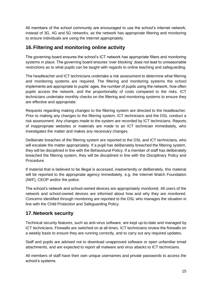All members of the school community are encouraged to use the school's internet network, instead of 3G, 4G and 5G networks, as the network has appropriate filtering and monitoring to ensure individuals are using the internet appropriately.

## **16.Filtering and monitoring online activity**

The governing board ensures the school's ICT network has appropriate filters and monitoring systems in place. The governing board ensures 'over blocking' does not lead to unreasonable restrictions as to what pupils can be taught with regards to online teaching and safeguarding.

The headteacher and ICT technicians undertake a risk assessment to determine what filtering and monitoring systems are required. The filtering and monitoring systems the school implements are appropriate to pupils' ages, the number of pupils using the network, how often pupils access the network, and the proportionality of costs compared to the risks. ICT technicians undertake monthly checks on the filtering and monitoring systems to ensure they are effective and appropriate.

Requests regarding making changes to the filtering system are directed to the headteacher. Prior to making any changes to the filtering system, ICT technicians and the DSL conduct a risk assessment. Any changes made to the system are recorded by ICT technicians. Reports of inappropriate websites or materials are made to an ICT technician immediately, who investigates the matter and makes any necessary changes.

Deliberate breaches of the filtering system are reported to the DSL and ICT technicians, who will escalate the matter appropriately. If a pupil has deliberately breached the filtering system, they will be disciplined in line with the Behavioural Policy. If a member of staff has deliberately breached the filtering system, they will be disciplined in line with the Disciplinary Policy and Procedure.

If material that is believed to be illegal is accessed, inadvertently or deliberately, this material will be reported to the appropriate agency immediately, e.g. the Internet Watch Foundation (IWF), CEOP and/or the police.

The school's network and school-owned devices are appropriately monitored. All users of the network and school-owned devices are informed about how and why they are monitored. Concerns identified through monitoring are reported to the DSL who manages the situation in line with the Child Protection and Safeguarding Policy.

## **17.Network security**

Technical security features, such as anti-virus software, are kept up-to-date and managed by ICT technicians. Firewalls are switched on at all times. ICT technicians review the firewalls on a weekly basis to ensure they are running correctly, and to carry out any required updates.

Staff and pupils are advised not to download unapproved software or open unfamiliar email attachments, and are expected to report all malware and virus attacks to ICT technicians.

All members of staff have their own unique usernames and private passwords to access the school's systems.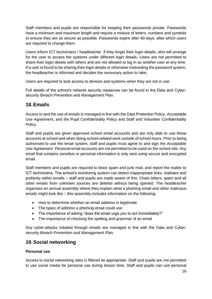Staff members and pupils are responsible for keeping their passwords private. Passwords have a minimum and maximum length and require a mixture of letters, numbers and symbols to ensure they are as secure as possible. Passwords expire after 90 days, after which users are required to change them.

Users inform ICT technicians / headteacher if they forget their login details, who will arrange for the user to access the systems under different login details. Users are not permitted to share their login details with others and are not allowed to log in as another user at any time. If a user is found to be sharing their login details or otherwise mistreating the password system, the headteacher is informed and decides the necessary action to take.

Users are required to lock access to devices and systems when they are not in use.

Full details of the school's network security measures can be found in the Data and Cybersecurity Breach Prevention and Management Plan.

#### **18.Emails**

Access to and the use of emails is managed in line with the Data Protection Policy, Acceptable Use Agreement, and the Pupil Confidentiality Policy and Staff and Volunteer Confidentiality Policy.

Staff and pupils are given approved school email accounts and are only able to use these accounts at school and when doing school-related work outside of school hours. Prior to being authorised to use the email system, staff and pupils must agree to and sign the Acceptable Use Agreement. Personal email accounts are not permitted to be used on the school site. Any email that contains sensitive or personal information is only sent using secure and encrypted email.

Staff members and pupils are required to block spam and junk mail, and report the matter to ICT technicians. The school's monitoring system can detect inappropriate links, malware and profanity within emails – staff and pupils are made aware of this. Chain letters, spam and all other emails from unknown sources are deleted without being opened. The headteacher organises an annual assembly where they explain what a phishing email and other malicious emails might look like – this assembly includes information on the following:

- How to determine whether an email address is legitimate
- The types of address a phishing email could use
- The importance of asking "does the email urge you to act immediately?"
- The importance of checking the spelling and grammar of an email

Any cyber-attacks initiated through emails are managed in line with the Data and Cybersecurity Breach Prevention and Management Plan.

#### **19.Social networking**

#### **Personal use**

Access to social networking sites is filtered as appropriate. Staff and pupils are not permitted to use social media for personal use during lesson time. Staff and pupils can use personal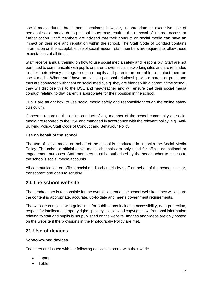social media during break and lunchtimes; however, inappropriate or excessive use of personal social media during school hours may result in the removal of internet access or further action. Staff members are advised that their conduct on social media can have an impact on their role and reputation within the school. The Staff Code of Conduct contains information on the acceptable use of social media – staff members are required to follow these expectations at all times.

Staff receive annual training on how to use social media safely and responsibly. Staff are not permitted to communicate with pupils or parents over social networking sites and are reminded to alter their privacy settings to ensure pupils and parents are not able to contact them on social media. Where staff have an existing personal relationship with a parent or pupil, and thus are connected with them on social media, e.g. they are friends with a parent at the school, they will disclose this to the DSL and headteacher and will ensure that their social media conduct relating to that parent is appropriate for their position in the school.

Pupils are taught how to use social media safely and responsibly through the online safety curriculum.

Concerns regarding the online conduct of any member of the school community on social media are reported to the DSL and managed in accordance with the relevant policy, e.g. Anti-Bullying Policy, Staff Code of Conduct and Behaviour Policy.

#### **Use on behalf of the school**

The use of social media on behalf of the school is conducted in line with the Social Media Policy. The school's official social media channels are only used for official educational or engagement purposes. Staff members must be authorised by the headteacher to access to the school's social media accounts.

All communication on official social media channels by staff on behalf of the school is clear, transparent and open to scrutiny.

#### **20.The school website**

The headteacher is responsible for the overall content of the school website – they will ensure the content is appropriate, accurate, up-to-date and meets government requirements.

The website complies with guidelines for publications including accessibility, data protection, respect for intellectual property rights, privacy policies and copyright law. Personal information relating to staff and pupils is not published on the website. Images and videos are only posted on the website if the provisions in the Photography Policy are met.

#### **21.Use of devices**

#### **School-owned devices**

Teachers are issued with the following devices to assist with their work:

- Laptop
- Tablet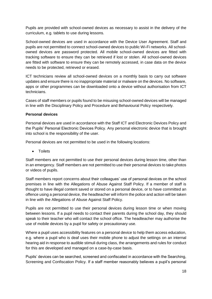Pupils are provided with school-owned devices as necessary to assist in the delivery of the curriculum, e.g. tablets to use during lessons.

School-owned devices are used in accordance with the Device User Agreement. Staff and pupils are not permitted to connect school-owned devices to public Wi-Fi networks. All schoolowned devices are password protected. All mobile school-owned devices are fitted with tracking software to ensure they can be retrieved if lost or stolen. All school-owned devices are fitted with software to ensure they can be remotely accessed, in case data on the device needs to be protected, retrieved or erased.

ICT technicians review all school-owned devices on a monthly basis to carry out software updates and ensure there is no inappropriate material or malware on the devices. No software, apps or other programmes can be downloaded onto a device without authorisation from ICT technicians.

Cases of staff members or pupils found to be misusing school-owned devices will be managed in line with the Disciplinary Policy and Procedure and Behavioural Policy respectively.

#### **Personal devices**

Personal devices are used in accordance with the Staff ICT and Electronic Devices Policy and the Pupils' Personal Electronic Devices Policy. Any personal electronic device that is brought into school is the responsibility of the user.

Personal devices are not permitted to be used in the following locations:

• Toilets

Staff members are not permitted to use their personal devices during lesson time, other than in an emergency. Staff members are not permitted to use their personal devices to take photos or videos of pupils.

Staff members report concerns about their colleagues' use of personal devices on the school premises in line with the Allegations of Abuse Against Staff Policy. If a member of staff is thought to have illegal content saved or stored on a personal device, or to have committed an offence using a personal device, the headteacher will inform the police and action will be taken in line with the Allegations of Abuse Against Staff Policy.

Pupils are not permitted to use their personal devices during lesson time or when moving between lessons. If a pupil needs to contact their parents during the school day, they should speak to their teacher who will contact the school office. The headteacher may authorise the use of mobile devices by a pupil for safety or precautionary use.

Where a pupil uses accessibility features on a personal device to help them access education, e.g. where a pupil who is deaf uses their mobile phone to adjust the settings on an internal hearing aid in response to audible stimuli during class, the arrangements and rules for conduct for this are developed and managed on a case-by-case basis.

Pupils' devices can be searched, screened and confiscated in accordance with the Searching, Screening and Confiscation Policy. If a staff member reasonably believes a pupil's personal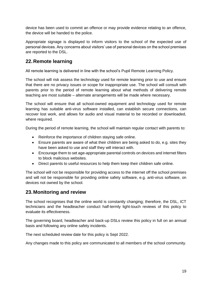device has been used to commit an offence or may provide evidence relating to an offence, the device will be handed to the police.

Appropriate signage is displayed to inform visitors to the school of the expected use of personal devices. Any concerns about visitors' use of personal devices on the school premises are reported to the DSL.

#### **22.Remote learning**

All remote learning is delivered in line with the school's Pupil Remote Learning Policy.

The school will risk assess the technology used for remote learning prior to use and ensure that there are no privacy issues or scope for inappropriate use. The school will consult with parents prior to the period of remote learning about what methods of delivering remote teaching are most suitable – alternate arrangements will be made where necessary.

The school will ensure that all school-owned equipment and technology used for remote learning has suitable anti-virus software installed, can establish secure connections, can recover lost work, and allows for audio and visual material to be recorded or downloaded, where required.

During the period of remote learning, the school will maintain regular contact with parents to:

- Reinforce the importance of children staying safe online.
- Ensure parents are aware of what their children are being asked to do, e.g. sites they have been asked to use and staff they will interact with.
- Encourage them to set age-appropriate parental controls on devices and internet filters to block malicious websites.
- Direct parents to useful resources to help them keep their children safe online.

The school will not be responsible for providing access to the internet off the school premises and will not be responsible for providing online safety software, e.g. anti-virus software, on devices not owned by the school.

#### **23.Monitoring and review**

The school recognises that the online world is constantly changing; therefore, the DSL, ICT technicians and the headteacher conduct half-termly light-touch reviews of this policy to evaluate its effectiveness.

The governing board, headteacher and back-up DSLs review this policy in full on an annual basis and following any online safety incidents.

The next scheduled review date for this policy is Sept 2022.

Any changes made to this policy are communicated to all members of the school community.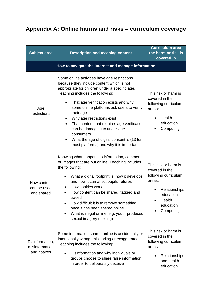## <span id="page-19-0"></span>**Appendix A: Online harms and risks – curriculum coverage**

| <b>Subject area</b>                             | <b>Description and teaching content</b>                                                                                                                                                                                                                                                                                                                                                                                                                                                                                | <b>Curriculum area</b><br>the harm or risk is<br>covered in                                                                                |
|-------------------------------------------------|------------------------------------------------------------------------------------------------------------------------------------------------------------------------------------------------------------------------------------------------------------------------------------------------------------------------------------------------------------------------------------------------------------------------------------------------------------------------------------------------------------------------|--------------------------------------------------------------------------------------------------------------------------------------------|
|                                                 | How to navigate the internet and manage information                                                                                                                                                                                                                                                                                                                                                                                                                                                                    |                                                                                                                                            |
| Age<br>restrictions                             | Some online activities have age restrictions<br>because they include content which is not<br>appropriate for children under a specific age.<br>Teaching includes the following:<br>That age verification exists and why<br>some online platforms ask users to verify<br>their age<br>Why age restrictions exist<br>That content that requires age verification<br>٠<br>can be damaging to under-age<br>consumers<br>What the age of digital consent is (13 for<br>$\bullet$<br>most platforms) and why it is important | This risk or harm is<br>covered in the<br>following curriculum<br>areas:<br>Health<br>education<br>Computing                               |
| How content<br>can be used<br>and shared        | Knowing what happens to information, comments<br>or images that are put online. Teaching includes<br>the following:<br>What a digital footprint is, how it develops<br>٠<br>and how it can affect pupils' futures<br>How cookies work<br>How content can be shared, tagged and<br>traced<br>How difficult it is to remove something<br>once it has been shared online<br>What is illegal online, e.g. youth-produced<br>$\bullet$<br>sexual imagery (sexting)                                                          | This risk or harm is<br>covered in the<br>following curriculum<br>areas:<br>Relationships<br>education<br>Health<br>education<br>Computing |
| Disinformation,<br>misinformation<br>and hoaxes | Some information shared online is accidentally or<br>intentionally wrong, misleading or exaggerated.<br>Teaching includes the following:<br>Disinformation and why individuals or<br>groups choose to share false information<br>in order to deliberately deceive                                                                                                                                                                                                                                                      | This risk or harm is<br>covered in the<br>following curriculum<br>areas:<br>Relationships<br>and health<br>education                       |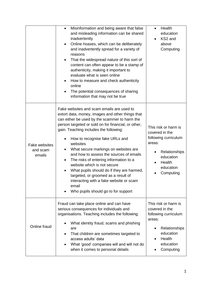|                                            | Misinformation and being aware that false<br>$\bullet$<br>and misleading information can be shared<br>inadvertently<br>Online hoaxes, which can be deliberately<br>٠<br>and inadvertently spread for a variety of<br>reasons<br>That the widespread nature of this sort of<br>$\bullet$<br>content can often appear to be a stamp of<br>authenticity, making it important to<br>evaluate what is seen online<br>How to measure and check authenticity<br>online<br>The potential consequences of sharing<br>information that may not be true                                                                                                                    | Health<br>$\bullet$<br>education<br>KS2 and<br>above<br>Computing                                                                          |
|--------------------------------------------|-----------------------------------------------------------------------------------------------------------------------------------------------------------------------------------------------------------------------------------------------------------------------------------------------------------------------------------------------------------------------------------------------------------------------------------------------------------------------------------------------------------------------------------------------------------------------------------------------------------------------------------------------------------------|--------------------------------------------------------------------------------------------------------------------------------------------|
| <b>Fake websites</b><br>and scam<br>emails | Fake websites and scam emails are used to<br>extort data, money, images and other things that<br>can either be used by the scammer to harm the<br>person targeted or sold on for financial, or other,<br>gain. Teaching includes the following:<br>How to recognise fake URLs and<br>٠<br>websites<br>What secure markings on websites are<br>٠<br>and how to assess the sources of emails<br>The risks of entering information to a<br>$\bullet$<br>website which is not secure<br>What pupils should do if they are harmed,<br>targeted, or groomed as a result of<br>interacting with a fake website or scam<br>email<br>Who pupils should go to for support | This risk or harm is<br>covered in the<br>following curriculum<br>areas:<br>Relationships<br>education<br>Health<br>education<br>Computing |
| Online fraud                               | Fraud can take place online and can have<br>serious consequences for individuals and<br>organisations. Teaching includes the following:<br>What identity fraud, scams and phishing<br>are<br>That children are sometimes targeted to<br>access adults' data<br>What 'good' companies will and will not do<br>when it comes to personal details                                                                                                                                                                                                                                                                                                                  | This risk or harm is<br>covered in the<br>following curriculum<br>areas:<br>Relationships<br>education<br>Health<br>education<br>Computing |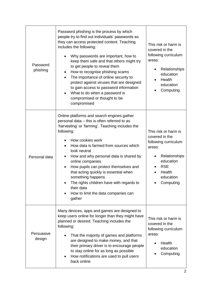| Password<br>phishing | Password phishing is the process by which<br>people try to find out individuals' passwords so<br>they can access protected content. Teaching<br>includes the following:<br>Why passwords are important, how to<br>$\bullet$<br>keep them safe and that others might try<br>to get people to reveal them<br>How to recognise phishing scams<br>٠<br>The importance of online security to<br>$\bullet$<br>protect against viruses that are designed<br>to gain access to password information<br>What to do when a password is<br>compromised or thought to be<br>compromised | This risk or harm is<br>covered in the<br>following curriculum<br>areas:<br>Relationships<br>education<br>Health<br>education<br>Computing               |
|----------------------|-----------------------------------------------------------------------------------------------------------------------------------------------------------------------------------------------------------------------------------------------------------------------------------------------------------------------------------------------------------------------------------------------------------------------------------------------------------------------------------------------------------------------------------------------------------------------------|----------------------------------------------------------------------------------------------------------------------------------------------------------|
| Personal data        | Online platforms and search engines gather<br>personal data - this is often referred to as<br>'harvesting' or 'farming'. Teaching includes the<br>following:<br>How cookies work<br>How data is farmed from sources which<br>look neutral<br>How and why personal data is shared by<br>online companies<br>How pupils can protect themselves and<br>$\bullet$<br>that acting quickly is essential when<br>something happens<br>The rights children have with regards to<br>their data<br>How to limit the data companies can<br>gather                                      | This risk or harm is<br>covered in the<br>following curriculum<br>areas:<br>Relationships<br>education<br><b>RSE</b><br>Health<br>education<br>Computing |
| Persuasive<br>design | Many devices, apps and games are designed to<br>keep users online for longer than they might have<br>planned or desired. Teaching includes the<br>following:<br>That the majority of games and platforms<br>are designed to make money, and that<br>their primary driver is to encourage people<br>to stay online for as long as possible<br>How notifications are used to pull users<br>$\bullet$<br>back online                                                                                                                                                           | This risk or harm is<br>covered in the<br>following curriculum<br>areas:<br>Health<br>education<br>Computing                                             |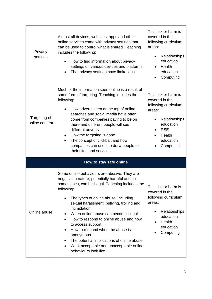| Privacy<br>settings            | Almost all devices, websites, apps and other<br>online services come with privacy settings that<br>can be used to control what is shared. Teaching<br>includes the following:<br>How to find information about privacy<br>settings on various devices and platforms<br>That privacy settings have limitations                                                                                                                                                                                                                                                 | This risk or harm is<br>covered in the<br>following curriculum<br>areas:<br>Relationships<br>$\bullet$<br>education<br>Health<br>education<br>Computing  |
|--------------------------------|---------------------------------------------------------------------------------------------------------------------------------------------------------------------------------------------------------------------------------------------------------------------------------------------------------------------------------------------------------------------------------------------------------------------------------------------------------------------------------------------------------------------------------------------------------------|----------------------------------------------------------------------------------------------------------------------------------------------------------|
| Targeting of<br>online content | Much of the information seen online is a result of<br>some form of targeting. Teaching includes the<br>following:<br>How adverts seen at the top of online<br>searches and social media have often<br>come from companies paying to be on<br>there and different people will see<br>different adverts<br>How the targeting is done<br>٠<br>The concept of clickbait and how<br>companies can use it to draw people to<br>their sites and services                                                                                                             | This risk or harm is<br>covered in the<br>following curriculum<br>areas:<br>Relationships<br>education<br><b>RSE</b><br>Health<br>education<br>Computing |
|                                | How to stay safe online                                                                                                                                                                                                                                                                                                                                                                                                                                                                                                                                       |                                                                                                                                                          |
| Online abuse                   | Some online behaviours are abusive. They are<br>negative in nature, potentially harmful and, in<br>some cases, can be illegal. Teaching includes the<br>following:<br>The types of online abuse, including<br>sexual harassment, bullying, trolling and<br>intimidation<br>When online abuse can become illegal<br>How to respond to online abuse and how<br>$\bullet$<br>to access support<br>How to respond when the abuse is<br>anonymous<br>The potential implications of online abuse<br>What acceptable and unacceptable online<br>behaviours look like | This risk or harm is<br>covered in the<br>following curriculum<br>areas:<br>Relationships<br>education<br>Health<br>education<br>Computing               |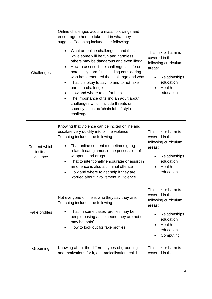| Challenges                           | Online challenges acquire mass followings and<br>encourage others to take part in what they<br>suggest. Teaching includes the following:<br>What an online challenge is and that,<br>while some will be fun and harmless,<br>others may be dangerous and even illegal<br>How to assess if the challenge is safe or<br>$\bullet$<br>potentially harmful, including considering<br>who has generated the challenge and why<br>That it is okay to say no and to not take<br>part in a challenge<br>How and where to go for help<br>The importance of telling an adult about<br>$\bullet$<br>challenges which include threats or<br>secrecy, such as 'chain letter' style<br>challenges | This risk or harm is<br>covered in the<br>following curriculum<br>areas:<br>Relationships<br>education<br>Health<br>education                   |
|--------------------------------------|-------------------------------------------------------------------------------------------------------------------------------------------------------------------------------------------------------------------------------------------------------------------------------------------------------------------------------------------------------------------------------------------------------------------------------------------------------------------------------------------------------------------------------------------------------------------------------------------------------------------------------------------------------------------------------------|-------------------------------------------------------------------------------------------------------------------------------------------------|
| Content which<br>incites<br>violence | Knowing that violence can be incited online and<br>escalate very quickly into offline violence.<br>Teaching includes the following:<br>That online content (sometimes gang<br>related) can glamorise the possession of<br>weapons and drugs<br>That to intentionally encourage or assist in<br>$\bullet$<br>an offence is also a criminal offence<br>How and where to get help if they are<br>worried about involvement in violence                                                                                                                                                                                                                                                 | This risk or harm is<br>covered in the<br>following curriculum<br>areas:<br>Relationships<br>education<br>Health<br>education                   |
| Fake profiles                        | Not everyone online is who they say they are.<br>Teaching includes the following:<br>That, in some cases, profiles may be<br>people posing as someone they are not or<br>may be 'bots'<br>How to look out for fake profiles                                                                                                                                                                                                                                                                                                                                                                                                                                                         | This risk or harm is<br>covered in the<br>following curriculum<br>areas:<br>Relationships<br>education<br>Health<br>٠<br>education<br>Computing |
| Grooming                             | Knowing about the different types of grooming<br>and motivations for it, e.g. radicalisation, child                                                                                                                                                                                                                                                                                                                                                                                                                                                                                                                                                                                 | This risk or harm is<br>covered in the                                                                                                          |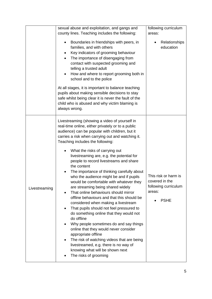|               | sexual abuse and exploitation, and gangs and                                                                                                                                                                                                                                                                                                                                                                                                                                                                                                                                                                                                                                                                                                                                                                                                                                                                                                                                                                                                                                    | following curriculum                                                                    |
|---------------|---------------------------------------------------------------------------------------------------------------------------------------------------------------------------------------------------------------------------------------------------------------------------------------------------------------------------------------------------------------------------------------------------------------------------------------------------------------------------------------------------------------------------------------------------------------------------------------------------------------------------------------------------------------------------------------------------------------------------------------------------------------------------------------------------------------------------------------------------------------------------------------------------------------------------------------------------------------------------------------------------------------------------------------------------------------------------------|-----------------------------------------------------------------------------------------|
|               | county lines. Teaching includes the following:                                                                                                                                                                                                                                                                                                                                                                                                                                                                                                                                                                                                                                                                                                                                                                                                                                                                                                                                                                                                                                  | areas:                                                                                  |
|               | Boundaries in friendships with peers, in<br>٠<br>families, and with others<br>Key indicators of grooming behaviour<br>٠<br>The importance of disengaging from<br>$\bullet$<br>contact with suspected grooming and<br>telling a trusted adult<br>How and where to report grooming both in<br>school and to the police<br>At all stages, it is important to balance teaching<br>pupils about making sensible decisions to stay<br>safe whilst being clear it is never the fault of the<br>child who is abused and why victim blaming is<br>always wrong.                                                                                                                                                                                                                                                                                                                                                                                                                                                                                                                          | Relationships<br>education                                                              |
| Livestreaming | Livestreaming (showing a video of yourself in<br>real-time online, either privately or to a public<br>audience) can be popular with children, but it<br>carries a risk when carrying out and watching it.<br>Teaching includes the following:<br>What the risks of carrying out<br>livestreaming are, e.g. the potential for<br>people to record livestreams and share<br>the content<br>The importance of thinking carefully about<br>who the audience might be and if pupils<br>would be comfortable with whatever they<br>are streaming being shared widely<br>That online behaviours should mirror<br>offline behaviours and that this should be<br>considered when making a livestream<br>That pupils should not feel pressured to<br>$\bullet$<br>do something online that they would not<br>do offline<br>Why people sometimes do and say things<br>٠<br>online that they would never consider<br>appropriate offline<br>The risk of watching videos that are being<br>livestreamed, e.g. there is no way of<br>knowing what will be shown next<br>The risks of grooming | This risk or harm is<br>covered in the<br>following curriculum<br>areas:<br><b>PSHE</b> |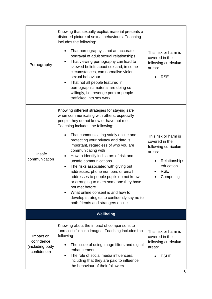| Pornography                                               | Knowing that sexually explicit material presents a<br>distorted picture of sexual behaviours. Teaching<br>includes the following:<br>That pornography is not an accurate<br>portrayal of adult sexual relationships<br>That viewing pornography can lead to<br>skewed beliefs about sex and, in some<br>circumstances, can normalise violent<br>sexual behaviour<br>That not all people featured in<br>pornographic material are doing so<br>willingly, i.e. revenge porn or people<br>trafficked into sex work                                                                                                                                                                                                                    | This risk or harm is<br>covered in the<br>following curriculum<br>areas:<br><b>RSE</b>                                                         |
|-----------------------------------------------------------|------------------------------------------------------------------------------------------------------------------------------------------------------------------------------------------------------------------------------------------------------------------------------------------------------------------------------------------------------------------------------------------------------------------------------------------------------------------------------------------------------------------------------------------------------------------------------------------------------------------------------------------------------------------------------------------------------------------------------------|------------------------------------------------------------------------------------------------------------------------------------------------|
| Unsafe<br>communication                                   | Knowing different strategies for staying safe<br>when communicating with others, especially<br>people they do not know or have not met.<br>Teaching includes the following:<br>That communicating safely online and<br>$\bullet$<br>protecting your privacy and data is<br>important, regardless of who you are<br>communicating with<br>How to identify indicators of risk and<br>unsafe communications<br>The risks associated with giving out<br>$\bullet$<br>addresses, phone numbers or email<br>addresses to people pupils do not know,<br>or arranging to meet someone they have<br>not met before<br>What online consent is and how to<br>develop strategies to confidently say no to<br>both friends and strangers online | This risk or harm is<br>covered in the<br>following curriculum<br>areas:<br>Relationships<br>$\bullet$<br>education<br><b>RSE</b><br>Computing |
|                                                           | Wellbeing                                                                                                                                                                                                                                                                                                                                                                                                                                                                                                                                                                                                                                                                                                                          |                                                                                                                                                |
| Impact on<br>confidence<br>(including body<br>confidence) | Knowing about the impact of comparisons to<br>'unrealistic' online images. Teaching includes the<br>following:<br>The issue of using image filters and digital<br>enhancement<br>The role of social media influencers,<br>including that they are paid to influence<br>the behaviour of their followers                                                                                                                                                                                                                                                                                                                                                                                                                            | This risk or harm is<br>covered in the<br>following curriculum<br>areas:<br><b>PSHE</b>                                                        |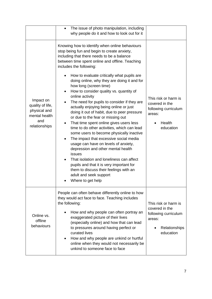|                                                                                        | The issue of photo manipulation, including<br>$\bullet$<br>why people do it and how to look out for it                                                                                                                                                                                                                                                                                                                                                                                                                                                                                                                                                                                                                                                                                                                                                                                                                                                                                                                                                                         |                                                                                                        |
|----------------------------------------------------------------------------------------|--------------------------------------------------------------------------------------------------------------------------------------------------------------------------------------------------------------------------------------------------------------------------------------------------------------------------------------------------------------------------------------------------------------------------------------------------------------------------------------------------------------------------------------------------------------------------------------------------------------------------------------------------------------------------------------------------------------------------------------------------------------------------------------------------------------------------------------------------------------------------------------------------------------------------------------------------------------------------------------------------------------------------------------------------------------------------------|--------------------------------------------------------------------------------------------------------|
| Impact on<br>quality of life,<br>physical and<br>mental health<br>and<br>relationships | Knowing how to identify when online behaviours<br>stop being fun and begin to create anxiety,<br>including that there needs to be a balance<br>between time spent online and offline. Teaching<br>includes the following:<br>How to evaluate critically what pupils are<br>doing online, why they are doing it and for<br>how long (screen time)<br>How to consider quality vs. quantity of<br>$\bullet$<br>online activity<br>The need for pupils to consider if they are<br>actually enjoying being online or just<br>doing it out of habit, due to peer pressure<br>or due to the fear or missing out<br>That time spent online gives users less<br>time to do other activities, which can lead<br>some users to become physically inactive<br>The impact that excessive social media<br>usage can have on levels of anxiety,<br>depression and other mental health<br>issues<br>That isolation and loneliness can affect<br>$\bullet$<br>pupils and that it is very important for<br>them to discuss their feelings with an<br>adult and seek support<br>Where to get help | This risk or harm is<br>covered in the<br>following curriculum<br>areas:<br>Health<br>education        |
| Online vs.<br>offline<br>behaviours                                                    | People can often behave differently online to how<br>they would act face to face. Teaching includes<br>the following:<br>How and why people can often portray an<br>exaggerated picture of their lives<br>(especially online) and how that can lead<br>to pressures around having perfect or<br>curated lives<br>How and why people are unkind or hurtful<br>$\bullet$<br>online when they would not necessarily be<br>unkind to someone face to face                                                                                                                                                                                                                                                                                                                                                                                                                                                                                                                                                                                                                          | This risk or harm is<br>covered in the<br>following curriculum<br>areas:<br>Relationships<br>education |